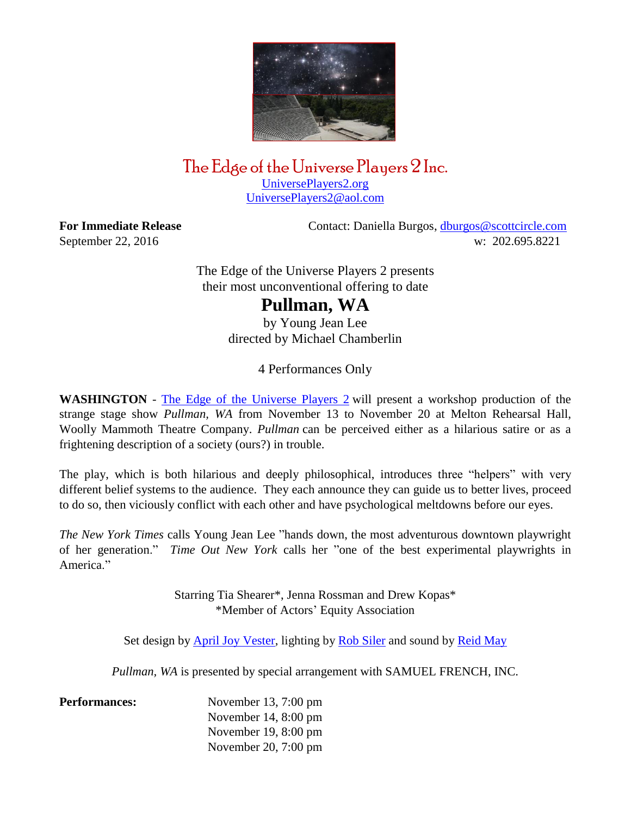

## The Edge of the Universe Players 2 Inc. [UniversePlayers2.org](http://universeplayers2.org/wp/)

[UniversePlayers2@aol.com](mailto:UniversePlayers2@aol.com)

**For Immediate Release Contact: Daniella Burgos, [dburgos@scottcircle.com](mailto:dburgos@scottcircle.com)** September 22, 2016 w: 202.695.8221

> The Edge of the Universe Players 2 presents their most unconventional offering to date

## **Pullman, WA**

by Young Jean Lee directed by Michael Chamberlin

4 Performances Only

**WASHINGTON** - The Edge of the [Universe](http://www.universeplayers2.org/wp/) Players 2 will present a workshop production of the strange stage show *Pullman, WA* from November 13 to November 20 at Melton Rehearsal Hall, Woolly Mammoth Theatre Company. *Pullman* can be perceived either as a hilarious satire or as a frightening description of a society (ours?) in trouble.

The play, which is both hilarious and deeply philosophical, introduces three "helpers" with very different belief systems to the audience. They each announce they can guide us to better lives, proceed to do so, then viciously conflict with each other and have psychological meltdowns before our eyes.

*The New York Times* calls Young Jean Lee "hands down, the most adventurous downtown playwright of her generation." *Time Out New York* calls her "one of the best experimental playwrights in America<sup>"</sup>

> Starring Tia Shearer\*, Jenna Rossman and Drew Kopas\* \*Member of Actors' Equity Association

Set design by [April Joy Vester,](http://www.apriljoydesigns.com/) lighting by [Rob Siler](http://www.silerlights.com/) and sound by [Reid May](http://www.reidmay.com/)

*Pullman, WA* is presented by special arrangement with SAMUEL FRENCH, INC.

**Performances:** November 13, 7:00 pm November 14, 8:00 pm November 19, 8:00 pm November 20, 7:00 pm